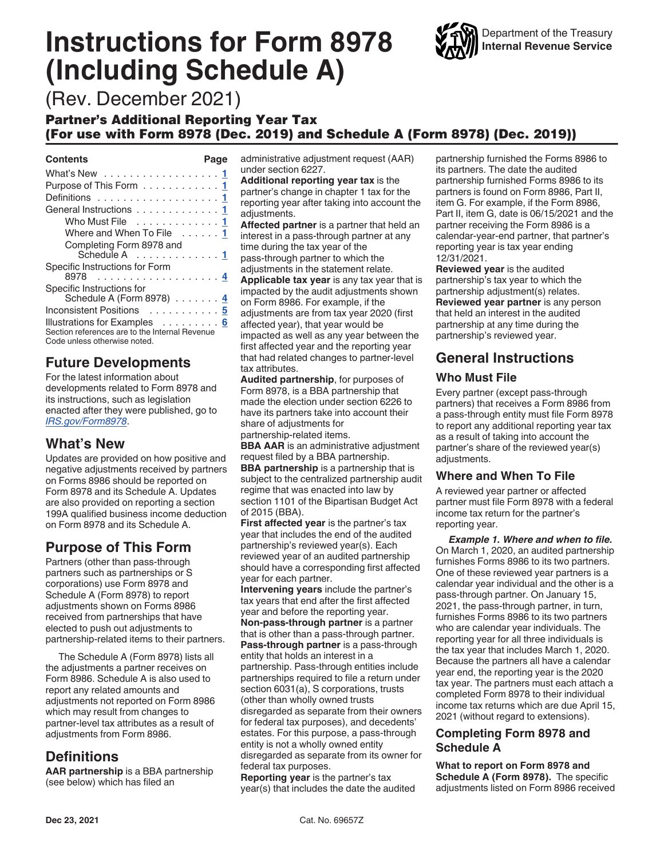# <span id="page-0-0"></span>**Instructions for Form 8978 (Including Schedule A)**



(Rev. December 2021)

#### Partner's Additional Reporting Year Tax (For use with Form 8978 (Dec. 2019) and Schedule A (Form 8978) (Dec. 2019))

#### **Contents Page**

| What's New 1                                                                                                   |
|----------------------------------------------------------------------------------------------------------------|
| Purpose of This Form 1                                                                                         |
|                                                                                                                |
| General Instructions 1                                                                                         |
| Who Must File 1                                                                                                |
| Where and When To File 1                                                                                       |
| Completing Form 8978 and<br>Schedule A 1                                                                       |
| Specific Instructions for Form                                                                                 |
| Specific Instructions for<br>Schedule A (Form 8978) 4                                                          |
| Inconsistent Positions 5                                                                                       |
| Illustrations for Examples 6<br>Section references are to the Internal Revenue<br>Code unless otherwise noted. |

## **Future Developments**

For the latest information about developments related to Form 8978 and its instructions, such as legislation enacted after they were published, go to *[IRS.gov/Form8978](https://www.irs.gov/Form8978)*.

## **What's New**

Updates are provided on how positive and negative adjustments received by partners on Forms 8986 should be reported on Form 8978 and its Schedule A. Updates are also provided on reporting a section 199A qualified business income deduction on Form 8978 and its Schedule A.

## **Purpose of This Form**

Partners (other than pass-through partners such as partnerships or S corporations) use Form 8978 and Schedule A (Form 8978) to report adjustments shown on Forms 8986 received from partnerships that have elected to push out adjustments to partnership-related items to their partners.

The Schedule A (Form 8978) lists all the adjustments a partner receives on Form 8986. Schedule A is also used to report any related amounts and adjustments not reported on Form 8986 which may result from changes to partner-level tax attributes as a result of adjustments from Form 8986.

## **Definitions**

**AAR partnership** is a BBA partnership (see below) which has filed an

administrative adjustment request (AAR) under section 6227.

**Additional reporting year tax** is the partner's change in chapter 1 tax for the reporting year after taking into account the adjustments.

**Affected partner** is a partner that held an interest in a pass-through partner at any time during the tax year of the pass-through partner to which the

adjustments in the statement relate. **Applicable tax year** is any tax year that is impacted by the audit adjustments shown on Form 8986. For example, if the adjustments are from tax year 2020 (first affected year), that year would be impacted as well as any year between the first affected year and the reporting year that had related changes to partner-level

tax attributes. **Audited partnership**, for purposes of Form 8978, is a BBA partnership that made the election under section 6226 to have its partners take into account their

share of adjustments for partnership-related items.

**BBA AAR** is an administrative adjustment request filed by a BBA partnership.

**BBA partnership** is a partnership that is subject to the centralized partnership audit regime that was enacted into law by section 1101 of the Bipartisan Budget Act of 2015 (BBA).

**First affected year** is the partner's tax year that includes the end of the audited partnership's reviewed year(s). Each reviewed year of an audited partnership should have a corresponding first affected year for each partner.

**Intervening years** include the partner's tax years that end after the first affected year and before the reporting year. **Non-pass-through partner** is a partner that is other than a pass-through partner. **Pass-through partner** is a pass-through entity that holds an interest in a partnership. Pass-through entities include partnerships required to file a return under section 6031(a), S corporations, trusts (other than wholly owned trusts

disregarded as separate from their owners for federal tax purposes), and decedents' estates. For this purpose, a pass-through entity is not a wholly owned entity disregarded as separate from its owner for federal tax purposes.

**Reporting year** is the partner's tax year(s) that includes the date the audited partnership furnished the Forms 8986 to its partners. The date the audited partnership furnished Forms 8986 to its partners is found on Form 8986, Part II, item G. For example, if the Form 8986, Part II, item G, date is 06/15/2021 and the partner receiving the Form 8986 is a calendar-year-end partner, that partner's reporting year is tax year ending 12/31/2021.

**Reviewed year** is the audited partnership's tax year to which the partnership adjustment(s) relates. **Reviewed year partner** is any person that held an interest in the audited partnership at any time during the partnership's reviewed year.

## **General Instructions**

#### **Who Must File**

Every partner (except pass-through partners) that receives a Form 8986 from a pass-through entity must file Form 8978 to report any additional reporting year tax as a result of taking into account the partner's share of the reviewed year(s) adjustments.

#### **Where and When To File**

A reviewed year partner or affected partner must file Form 8978 with a federal income tax return for the partner's reporting year.

*Example 1. Where and when to file.*  On March 1, 2020, an audited partnership furnishes Forms 8986 to its two partners. One of these reviewed year partners is a calendar year individual and the other is a pass-through partner. On January 15, 2021, the pass-through partner, in turn, furnishes Forms 8986 to its two partners who are calendar year individuals. The reporting year for all three individuals is the tax year that includes March 1, 2020. Because the partners all have a calendar year end, the reporting year is the 2020 tax year. The partners must each attach a completed Form 8978 to their individual income tax returns which are due April 15, 2021 (without regard to extensions).

#### **Completing Form 8978 and Schedule A**

**What to report on Form 8978 and Schedule A (Form 8978).** The specific adjustments listed on Form 8986 received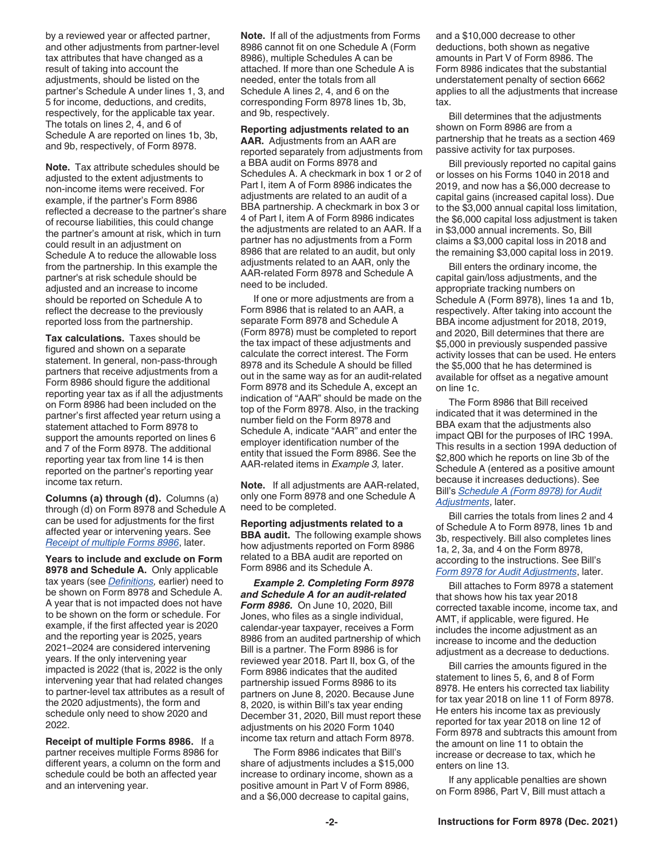by a reviewed year or affected partner, and other adjustments from partner-level tax attributes that have changed as a result of taking into account the adjustments, should be listed on the partner's Schedule A under lines 1, 3, and 5 for income, deductions, and credits, respectively, for the applicable tax year. The totals on lines 2, 4, and 6 of Schedule A are reported on lines 1b, 3b, and 9b, respectively, of Form 8978.

**Note.** Tax attribute schedules should be adjusted to the extent adjustments to non-income items were received. For example, if the partner's Form 8986 reflected a decrease to the partner's share of recourse liabilities, this could change the partner's amount at risk, which in turn could result in an adjustment on Schedule A to reduce the allowable loss from the partnership. In this example the partner's at risk schedule should be adjusted and an increase to income should be reported on Schedule A to reflect the decrease to the previously reported loss from the partnership.

**Tax calculations.** Taxes should be figured and shown on a separate statement. In general, non-pass-through partners that receive adjustments from a Form 8986 should figure the additional reporting year tax as if all the adjustments on Form 8986 had been included on the partner's first affected year return using a statement attached to Form 8978 to support the amounts reported on lines 6 and 7 of the Form 8978. The additional reporting year tax from line 14 is then reported on the partner's reporting year income tax return.

**Columns (a) through (d).** Columns (a) through (d) on Form 8978 and Schedule A can be used for adjustments for the first affected year or intervening years. See *Receipt of multiple Forms 8986*, later.

**Years to include and exclude on Form 8978 and Schedule A.** Only applicable tax years (see *[Definitions,](#page-0-0)* earlier) need to be shown on Form 8978 and Schedule A. A year that is not impacted does not have to be shown on the form or schedule. For example, if the first affected year is 2020 and the reporting year is 2025, years 2021–2024 are considered intervening years. If the only intervening year impacted is 2022 (that is, 2022 is the only intervening year that had related changes to partner-level tax attributes as a result of the 2020 adjustments), the form and schedule only need to show 2020 and 2022.

**Receipt of multiple Forms 8986.** If a partner receives multiple Forms 8986 for different years, a column on the form and schedule could be both an affected year and an intervening year.

**Note.** If all of the adjustments from Forms 8986 cannot fit on one Schedule A (Form 8986), multiple Schedules A can be attached. If more than one Schedule A is needed, enter the totals from all Schedule A lines 2, 4, and 6 on the corresponding Form 8978 lines 1b, 3b, and 9b, respectively.

**Reporting adjustments related to an AAR.** Adjustments from an AAR are reported separately from adjustments from a BBA audit on Forms 8978 and Schedules A. A checkmark in box 1 or 2 of Part I, item A of Form 8986 indicates the adjustments are related to an audit of a BBA partnership. A checkmark in box 3 or 4 of Part I, item A of Form 8986 indicates the adjustments are related to an AAR. If a partner has no adjustments from a Form 8986 that are related to an audit, but only adjustments related to an AAR, only the AAR-related Form 8978 and Schedule A need to be included.

If one or more adjustments are from a Form 8986 that is related to an AAR, a separate Form 8978 and Schedule A (Form 8978) must be completed to report the tax impact of these adjustments and calculate the correct interest. The Form 8978 and its Schedule A should be filled out in the same way as for an audit-related Form 8978 and its Schedule A, except an indication of "AAR" should be made on the top of the Form 8978. Also, in the tracking number field on the Form 8978 and Schedule A, indicate "AAR" and enter the employer identification number of the entity that issued the Form 8986. See the AAR-related items in *Example 3,* later.

**Note.** If all adjustments are AAR-related, only one Form 8978 and one Schedule A need to be completed.

**Reporting adjustments related to a BBA audit.** The following example shows how adjustments reported on Form 8986 related to a BBA audit are reported on Form 8986 and its Schedule A.

*Example 2. Completing Form 8978 and Schedule A for an audit-related Form 8986.* On June 10, 2020, Bill Jones, who files as a single individual, calendar-year taxpayer, receives a Form 8986 from an audited partnership of which Bill is a partner. The Form 8986 is for reviewed year 2018. Part II, box G, of the Form 8986 indicates that the audited partnership issued Forms 8986 to its partners on June 8, 2020. Because June 8, 2020, is within Bill's tax year ending December 31, 2020, Bill must report these adjustments on his 2020 Form 1040 income tax return and attach Form 8978.

The Form 8986 indicates that Bill's share of adjustments includes a \$15,000 increase to ordinary income, shown as a positive amount in Part V of Form 8986, and a \$6,000 decrease to capital gains,

and a \$10,000 decrease to other deductions, both shown as negative amounts in Part V of Form 8986. The Form 8986 indicates that the substantial understatement penalty of section 6662 applies to all the adjustments that increase tax.

Bill determines that the adjustments shown on Form 8986 are from a partnership that he treats as a section 469 passive activity for tax purposes.

Bill previously reported no capital gains or losses on his Forms 1040 in 2018 and 2019, and now has a \$6,000 decrease to capital gains (increased capital loss). Due to the \$3,000 annual capital loss limitation, the \$6,000 capital loss adjustment is taken in \$3,000 annual increments. So, Bill claims a \$3,000 capital loss in 2018 and the remaining \$3,000 capital loss in 2019.

Bill enters the ordinary income, the capital gain/loss adjustments, and the appropriate tracking numbers on Schedule A (Form 8978), lines 1a and 1b, respectively. After taking into account the BBA income adjustment for 2018, 2019, and 2020, Bill determines that there are \$5,000 in previously suspended passive activity losses that can be used. He enters the \$5,000 that he has determined is available for offset as a negative amount on line 1c.

The Form 8986 that Bill received indicated that it was determined in the BBA exam that the adjustments also impact QBI for the purposes of IRC 199A. This results in a section 199A deduction of \$2,800 which he reports on line 3b of the Schedule A (entered as a positive amount because it increases deductions). See Bill's *[Schedule A \(Form 8978\) for Audit](#page-5-0) [Adjustments](#page-5-0)*, later.

Bill carries the totals from lines 2 and 4 of Schedule A to Form 8978, lines 1b and 3b, respectively. Bill also completes lines 1a, 2, 3a, and 4 on the Form 8978, according to the instructions. See Bill's *[Form 8978 for Audit Adjustments](#page-6-0)*, later.

Bill attaches to Form 8978 a statement that shows how his tax year 2018 corrected taxable income, income tax, and AMT, if applicable, were figured. He includes the income adjustment as an increase to income and the deduction adjustment as a decrease to deductions.

Bill carries the amounts figured in the statement to lines 5, 6, and 8 of Form 8978. He enters his corrected tax liability for tax year 2018 on line 11 of Form 8978. He enters his income tax as previously reported for tax year 2018 on line 12 of Form 8978 and subtracts this amount from the amount on line 11 to obtain the increase or decrease to tax, which he enters on line 13.

If any applicable penalties are shown on Form 8986, Part V, Bill must attach a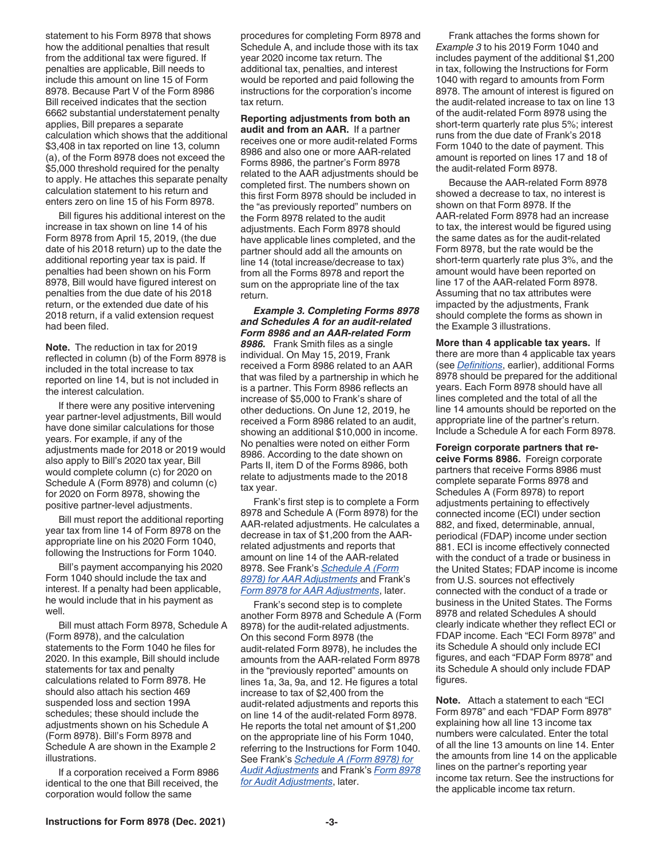statement to his Form 8978 that shows how the additional penalties that result from the additional tax were figured. If penalties are applicable, Bill needs to include this amount on line 15 of Form 8978. Because Part V of the Form 8986 Bill received indicates that the section 6662 substantial understatement penalty applies, Bill prepares a separate calculation which shows that the additional \$3,408 in tax reported on line 13, column (a), of the Form 8978 does not exceed the \$5,000 threshold required for the penalty to apply. He attaches this separate penalty calculation statement to his return and enters zero on line 15 of his Form 8978.

Bill figures his additional interest on the increase in tax shown on line 14 of his Form 8978 from April 15, 2019, (the due date of his 2018 return) up to the date the additional reporting year tax is paid. If penalties had been shown on his Form 8978, Bill would have figured interest on penalties from the due date of his 2018 return, or the extended due date of his 2018 return, if a valid extension request had been filed.

**Note.** The reduction in tax for 2019 reflected in column (b) of the Form 8978 is included in the total increase to tax reported on line 14, but is not included in the interest calculation.

If there were any positive intervening year partner-level adjustments, Bill would have done similar calculations for those years. For example, if any of the adjustments made for 2018 or 2019 would also apply to Bill's 2020 tax year, Bill would complete column (c) for 2020 on Schedule A (Form 8978) and column (c) for 2020 on Form 8978, showing the positive partner-level adjustments.

Bill must report the additional reporting year tax from line 14 of Form 8978 on the appropriate line on his 2020 Form 1040, following the Instructions for Form 1040.

Bill's payment accompanying his 2020 Form 1040 should include the tax and interest. If a penalty had been applicable, he would include that in his payment as well.

Bill must attach Form 8978, Schedule A (Form 8978), and the calculation statements to the Form 1040 he files for 2020. In this example, Bill should include statements for tax and penalty calculations related to Form 8978. He should also attach his section 469 suspended loss and section 199A schedules; these should include the adjustments shown on his Schedule A (Form 8978). Bill's Form 8978 and Schedule A are shown in the Example 2 illustrations.

If a corporation received a Form 8986 identical to the one that Bill received, the corporation would follow the same

procedures for completing Form 8978 and Schedule A, and include those with its tax year 2020 income tax return. The additional tax, penalties, and interest would be reported and paid following the instructions for the corporation's income tax return.

**Reporting adjustments from both an audit and from an AAR.** If a partner receives one or more audit-related Forms 8986 and also one or more AAR-related Forms 8986, the partner's Form 8978 related to the AAR adjustments should be completed first. The numbers shown on this first Form 8978 should be included in the "as previously reported" numbers on the Form 8978 related to the audit adjustments. Each Form 8978 should have applicable lines completed, and the partner should add all the amounts on line 14 (total increase/decrease to tax) from all the Forms 8978 and report the sum on the appropriate line of the tax return.

*Example 3. Completing Forms 8978 and Schedules A for an audit-related Form 8986 and an AAR-related Form 8986.* Frank Smith files as a single individual. On May 15, 2019, Frank received a Form 8986 related to an AAR that was filed by a partnership in which he is a partner. This Form 8986 reflects an increase of \$5,000 to Frank's share of other deductions. On June 12, 2019, he received a Form 8986 related to an audit, showing an additional \$10,000 in income. No penalties were noted on either Form 8986. According to the date shown on Parts II, item D of the Forms 8986, both relate to adjustments made to the 2018 tax year.

Frank's first step is to complete a Form 8978 and Schedule A (Form 8978) for the AAR-related adjustments. He calculates a decrease in tax of \$1,200 from the AARrelated adjustments and reports that amount on line 14 of the AAR-related 8978. See Frank's *[Schedule A \(Form](#page-7-0) [8978\) for AAR Adjustments](#page-7-0)* and Frank's *[Form 8978 for AAR Adjustments](#page-8-0)*, later.

Frank's second step is to complete another Form 8978 and Schedule A (Form 8978) for the audit-related adjustments. On this second Form 8978 (the audit-related Form 8978), he includes the amounts from the AAR-related Form 8978 in the "previously reported" amounts on lines 1a, 3a, 9a, and 12. He figures a total increase to tax of \$2,400 from the audit-related adjustments and reports this on line 14 of the audit-related Form 8978. He reports the total net amount of \$1,200 on the appropriate line of his Form 1040, referring to the Instructions for Form 1040. See Frank's *[Schedule A \(Form 8978\) for](#page-9-0) [Audit Adjustments](#page-9-0)* and Frank's *[Form 8978](#page-10-0) [for Audit Adjustments](#page-10-0)*, later.

Frank attaches the forms shown for *Example 3* to his 2019 Form 1040 and includes payment of the additional \$1,200 in tax, following the Instructions for Form 1040 with regard to amounts from Form 8978. The amount of interest is figured on the audit-related increase to tax on line 13 of the audit-related Form 8978 using the short-term quarterly rate plus 5%; interest runs from the due date of Frank's 2018 Form 1040 to the date of payment. This amount is reported on lines 17 and 18 of the audit-related Form 8978.

Because the AAR-related Form 8978 showed a decrease to tax, no interest is shown on that Form 8978. If the AAR-related Form 8978 had an increase to tax, the interest would be figured using the same dates as for the audit-related Form 8978, but the rate would be the short-term quarterly rate plus 3%, and the amount would have been reported on line 17 of the AAR-related Form 8978. Assuming that no tax attributes were impacted by the adjustments, Frank should complete the forms as shown in the Example 3 illustrations.

**More than 4 applicable tax years.** If there are more than 4 applicable tax years (see *[Definitions](#page-0-0)*, earlier), additional Forms 8978 should be prepared for the additional years. Each Form 8978 should have all lines completed and the total of all the line 14 amounts should be reported on the appropriate line of the partner's return. Include a Schedule A for each Form 8978.

**Foreign corporate partners that receive Forms 8986.** Foreign corporate partners that receive Forms 8986 must complete separate Forms 8978 and Schedules A (Form 8978) to report adjustments pertaining to effectively connected income (ECI) under section 882, and fixed, determinable, annual, periodical (FDAP) income under section 881. ECI is income effectively connected with the conduct of a trade or business in the United States; FDAP income is income from U.S. sources not effectively connected with the conduct of a trade or business in the United States. The Forms 8978 and related Schedules A should clearly indicate whether they reflect ECI or FDAP income. Each "ECI Form 8978" and its Schedule A should only include ECI figures, and each "FDAP Form 8978" and its Schedule A should only include FDAP figures.

**Note.** Attach a statement to each "ECI Form 8978" and each "FDAP Form 8978" explaining how all line 13 income tax numbers were calculated. Enter the total of all the line 13 amounts on line 14. Enter the amounts from line 14 on the applicable lines on the partner's reporting year income tax return. See the instructions for the applicable income tax return.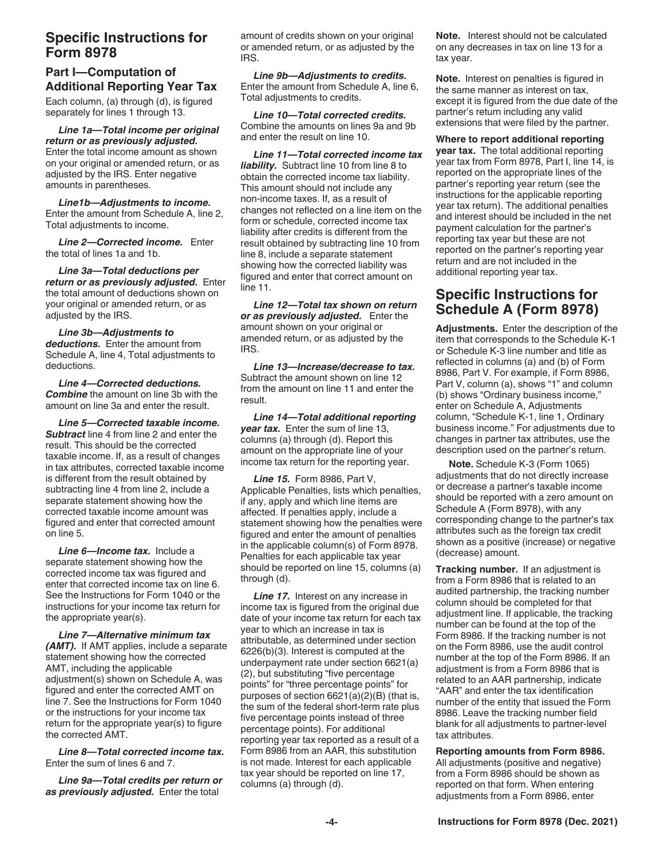#### <span id="page-3-0"></span>**Specific Instructions for Form 8978**

## **Part I—Computation of Additional Reporting Year Tax**

Each column, (a) through (d), is figured separately for lines 1 through 13.

*Line 1a—Total income per original return or as previously adjusted.*  Enter the total income amount as shown on your original or amended return, or as adjusted by the IRS. Enter negative amounts in parentheses.

*Line1b—Adjustments to income.*  Enter the amount from Schedule A, line 2, Total adjustments to income.

*Line 2—Corrected income.* Enter the total of lines 1a and 1b.

*Line 3a—Total deductions per return or as previously adjusted.* Enter the total amount of deductions shown on your original or amended return, or as adjusted by the IRS.

*Line 3b—Adjustments to deductions.* Enter the amount from Schedule A, line 4, Total adjustments to deductions.

*Line 4—Corrected deductions. Combine* the amount on line 3b with the amount on line 3a and enter the result.

*Line 5—Corrected taxable income. Subtract* line 4 from line 2 and enter the result. This should be the corrected taxable income. If, as a result of changes in tax attributes, corrected taxable income is different from the result obtained by subtracting line 4 from line 2, include a separate statement showing how the corrected taxable income amount was figured and enter that corrected amount on line 5.

*Line 6—Income tax.* Include a separate statement showing how the corrected income tax was figured and enter that corrected income tax on line 6. See the Instructions for Form 1040 or the instructions for your income tax return for the appropriate year(s).

*Line 7—Alternative minimum tax (AMT).* If AMT applies, include a separate statement showing how the corrected AMT, including the applicable adjustment(s) shown on Schedule A, was figured and enter the corrected AMT on line 7. See the Instructions for Form 1040 or the instructions for your income tax return for the appropriate year(s) to figure the corrected AMT.

*Line 8—Total corrected income tax.*  Enter the sum of lines 6 and 7.

*Line 9a—Total credits per return or as previously adjusted.* Enter the total

amount of credits shown on your original or amended return, or as adjusted by the IRS.

*Line 9b—Adjustments to credits.*  Enter the amount from Schedule A, line 6, Total adjustments to credits.

*Line 10—Total corrected credits.*  Combine the amounts on lines 9a and 9b and enter the result on line 10.

*Line 11—Total corrected income tax liability.* Subtract line 10 from line 8 to obtain the corrected income tax liability. This amount should not include any non-income taxes. If, as a result of changes not reflected on a line item on the form or schedule, corrected income tax liability after credits is different from the result obtained by subtracting line 10 from line 8, include a separate statement showing how the corrected liability was figured and enter that correct amount on line 11.

*Line 12—Total tax shown on return or as previously adjusted.* Enter the amount shown on your original or amended return, or as adjusted by the IRS.

*Line 13—Increase/decrease to tax.*  Subtract the amount shown on line 12 from the amount on line 11 and enter the result.

*Line 14—Total additional reporting year tax.* Enter the sum of line 13, columns (a) through (d). Report this amount on the appropriate line of your income tax return for the reporting year.

*Line 15.* Form 8986, Part V, Applicable Penalties, lists which penalties, if any, apply and which line items are affected. If penalties apply, include a statement showing how the penalties were figured and enter the amount of penalties in the applicable column(s) of Form 8978. Penalties for each applicable tax year should be reported on line 15, columns (a) through (d).

**Line 17.** Interest on any increase in income tax is figured from the original due date of your income tax return for each tax year to which an increase in tax is attributable, as determined under section 6226(b)(3). Interest is computed at the underpayment rate under section 6621(a) (2), but substituting "five percentage points" for "three percentage points" for purposes of section 6621(a)(2)(B) (that is, the sum of the federal short-term rate plus five percentage points instead of three percentage points). For additional reporting year tax reported as a result of a Form 8986 from an AAR, this substitution is not made. Interest for each applicable tax year should be reported on line 17, columns (a) through (d).

**Note.** Interest should not be calculated on any decreases in tax on line 13 for a tax year.

**Note.** Interest on penalties is figured in the same manner as interest on tax, except it is figured from the due date of the partner's return including any valid extensions that were filed by the partner.

**Where to report additional reporting year tax.** The total additional reporting year tax from Form 8978, Part I, line 14, is reported on the appropriate lines of the partner's reporting year return (see the instructions for the applicable reporting year tax return). The additional penalties and interest should be included in the net payment calculation for the partner's reporting tax year but these are not reported on the partner's reporting year return and are not included in the additional reporting year tax.

## **Specific Instructions for Schedule A (Form 8978)**

**Adjustments.** Enter the description of the item that corresponds to the Schedule K-1 or Schedule K-3 line number and title as reflected in columns (a) and (b) of Form 8986, Part V. For example, if Form 8986, Part V, column (a), shows "1" and column (b) shows "Ordinary business income," enter on Schedule A, Adjustments column, "Schedule K-1, line 1, Ordinary business income." For adjustments due to changes in partner tax attributes, use the description used on the partner's return.

**Note.** Schedule K-3 (Form 1065) adjustments that do not directly increase or decrease a partner's taxable income should be reported with a zero amount on Schedule A (Form 8978), with any corresponding change to the partner's tax attributes such as the foreign tax credit shown as a positive (increase) or negative (decrease) amount.

**Tracking number.** If an adjustment is from a Form 8986 that is related to an audited partnership, the tracking number column should be completed for that adjustment line. If applicable, the tracking number can be found at the top of the Form 8986. If the tracking number is not on the Form 8986, use the audit control number at the top of the Form 8986. If an adjustment is from a Form 8986 that is related to an AAR partnership, indicate "AAR" and enter the tax identification number of the entity that issued the Form 8986. Leave the tracking number field blank for all adjustments to partner-level tax attributes.

**Reporting amounts from Form 8986.**  All adjustments (positive and negative) from a Form 8986 should be shown as reported on that form. When entering adjustments from a Form 8986, enter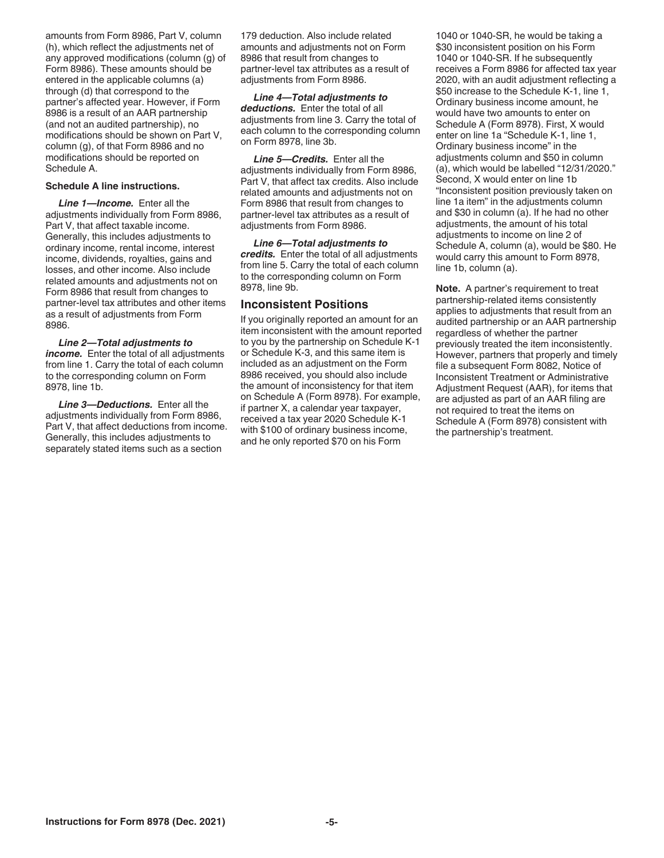<span id="page-4-0"></span>amounts from Form 8986, Part V, column (h), which reflect the adjustments net of any approved modifications (column (g) of Form 8986). These amounts should be entered in the applicable columns (a) through (d) that correspond to the partner's affected year. However, if Form 8986 is a result of an AAR partnership (and not an audited partnership), no modifications should be shown on Part V, column (g), of that Form 8986 and no modifications should be reported on Schedule A.

#### **Schedule A line instructions.**

*Line 1—Income.* Enter all the adjustments individually from Form 8986, Part V, that affect taxable income. Generally, this includes adjustments to ordinary income, rental income, interest income, dividends, royalties, gains and losses, and other income. Also include related amounts and adjustments not on Form 8986 that result from changes to partner-level tax attributes and other items as a result of adjustments from Form 8986.

*Line 2—Total adjustments to income.* Enter the total of all adjustments from line 1. Carry the total of each column to the corresponding column on Form 8978, line 1b.

*Line 3—Deductions.* Enter all the adjustments individually from Form 8986, Part V, that affect deductions from income. Generally, this includes adjustments to separately stated items such as a section

179 deduction. Also include related amounts and adjustments not on Form 8986 that result from changes to partner-level tax attributes as a result of adiustments from Form 8986.

*Line 4—Total adjustments to deductions.* Enter the total of all adjustments from line 3. Carry the total of each column to the corresponding column on Form 8978, line 3b.

*Line 5—Credits.* Enter all the adjustments individually from Form 8986, Part V, that affect tax credits. Also include related amounts and adjustments not on Form 8986 that result from changes to partner-level tax attributes as a result of adjustments from Form 8986.

*Line 6—Total adjustments to credits.* Enter the total of all adjustments from line 5. Carry the total of each column to the corresponding column on Form 8978, line 9b.

#### **Inconsistent Positions**

If you originally reported an amount for an item inconsistent with the amount reported to you by the partnership on Schedule K-1 or Schedule K-3, and this same item is included as an adjustment on the Form 8986 received, you should also include the amount of inconsistency for that item on Schedule A (Form 8978). For example, if partner X, a calendar year taxpayer, received a tax year 2020 Schedule K-1 with \$100 of ordinary business income, and he only reported \$70 on his Form

1040 or 1040-SR, he would be taking a \$30 inconsistent position on his Form 1040 or 1040-SR. If he subsequently receives a Form 8986 for affected tax year 2020, with an audit adjustment reflecting a \$50 increase to the Schedule K-1, line 1, Ordinary business income amount, he would have two amounts to enter on Schedule A (Form 8978). First, X would enter on line 1a "Schedule K-1, line 1, Ordinary business income" in the adjustments column and \$50 in column (a), which would be labelled "12/31/2020." Second, X would enter on line 1b "Inconsistent position previously taken on line 1a item" in the adjustments column and \$30 in column (a). If he had no other adjustments, the amount of his total adiustments to income on line 2 of Schedule A, column (a), would be \$80. He would carry this amount to Form 8978, line 1b, column (a).

**Note.** A partner's requirement to treat partnership-related items consistently applies to adjustments that result from an audited partnership or an AAR partnership regardless of whether the partner previously treated the item inconsistently. However, partners that properly and timely file a subsequent Form 8082, Notice of Inconsistent Treatment or Administrative Adjustment Request (AAR), for items that are adjusted as part of an AAR filing are not required to treat the items on Schedule A (Form 8978) consistent with the partnership's treatment.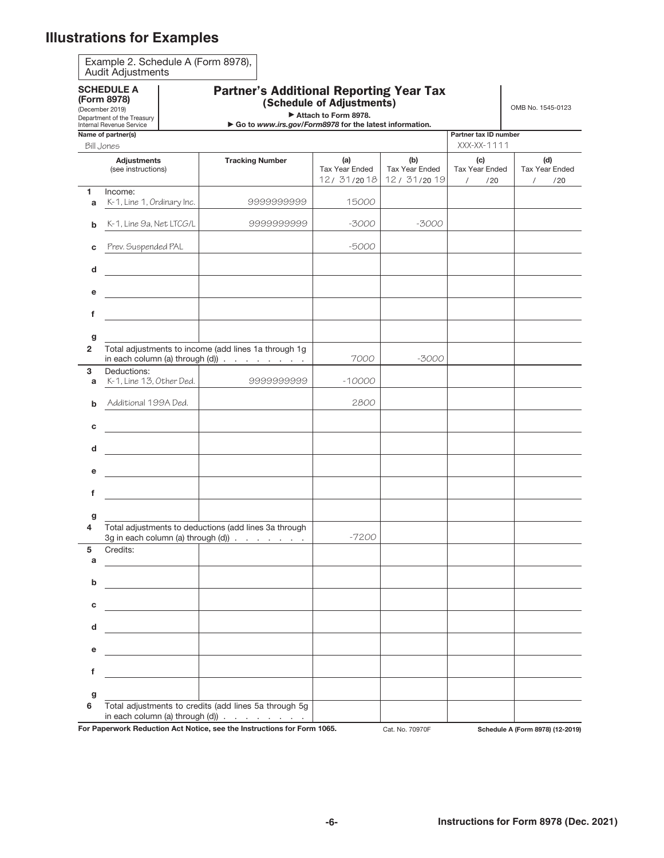# <span id="page-5-0"></span>**Illustrations for Examples**

| <b>SCHEDULE A</b><br>(Form 8978)<br>(December 2019)<br>Department of the Treasury                                                 |                                                                                                                    |  | <b>Partner's Additional Reporting Year Tax</b> | OMB No. 1545-0123 |                                             |                                            |                                                 |                                     |
|-----------------------------------------------------------------------------------------------------------------------------------|--------------------------------------------------------------------------------------------------------------------|--|------------------------------------------------|-------------------|---------------------------------------------|--------------------------------------------|-------------------------------------------------|-------------------------------------|
| Go to www.irs.gov/Form8978 for the latest information.<br>Internal Revenue Service<br>Name of partner(s)<br>Partner tax ID number |                                                                                                                    |  |                                                |                   |                                             |                                            |                                                 |                                     |
| XXX-XX-1111<br>Bill Jones                                                                                                         |                                                                                                                    |  |                                                |                   |                                             |                                            |                                                 |                                     |
|                                                                                                                                   | <b>Adjustments</b><br>(see instructions)                                                                           |  | <b>Tracking Number</b>                         |                   | (a)<br><b>Tax Year Ended</b><br>12/ 31/2018 | (b)<br><b>Tax Year Ended</b><br>12/31/2019 | (c)<br><b>Tax Year Ended</b><br>/20<br>$\prime$ | (d)<br><b>Tax Year Ended</b><br>/20 |
| 1.<br>a                                                                                                                           | Income:<br>K-1, Line 1, Ordinary Inc.                                                                              |  |                                                | 9999999999        | 15000                                       |                                            |                                                 |                                     |
| b                                                                                                                                 | K-1, Line 9a, Net LTCG/L                                                                                           |  |                                                | 9999999999        | $-3000$                                     | $-3000$                                    |                                                 |                                     |
| c                                                                                                                                 | Prev. Suspended PAL                                                                                                |  |                                                |                   | -5000                                       |                                            |                                                 |                                     |
| d                                                                                                                                 |                                                                                                                    |  |                                                |                   |                                             |                                            |                                                 |                                     |
| е                                                                                                                                 |                                                                                                                    |  |                                                |                   |                                             |                                            |                                                 |                                     |
| f                                                                                                                                 |                                                                                                                    |  |                                                |                   |                                             |                                            |                                                 |                                     |
| g<br>$\overline{2}$                                                                                                               | Total adjustments to income (add lines 1a through 1g<br>in each column (a) through (d)) $\ldots$ $\ldots$ $\ldots$ |  |                                                |                   | 7000                                        | -3000                                      |                                                 |                                     |
| 3<br>a                                                                                                                            | Deductions:<br>K-1, Line 13, Other Ded.                                                                            |  |                                                | 9999999999        | $-10000$                                    |                                            |                                                 |                                     |
| b                                                                                                                                 | Additional 199A Ded.                                                                                               |  |                                                |                   | 2800                                        |                                            |                                                 |                                     |
| С                                                                                                                                 |                                                                                                                    |  |                                                |                   |                                             |                                            |                                                 |                                     |
| d                                                                                                                                 |                                                                                                                    |  |                                                |                   |                                             |                                            |                                                 |                                     |
| е                                                                                                                                 |                                                                                                                    |  |                                                |                   |                                             |                                            |                                                 |                                     |
| f                                                                                                                                 |                                                                                                                    |  |                                                |                   |                                             |                                            |                                                 |                                     |
| g<br>4                                                                                                                            | Total adjustments to deductions (add lines 3a through                                                              |  |                                                |                   |                                             |                                            |                                                 |                                     |
| 5<br>а                                                                                                                            | Credits:                                                                                                           |  |                                                |                   | $-7200$                                     |                                            |                                                 |                                     |
| b                                                                                                                                 |                                                                                                                    |  |                                                |                   |                                             |                                            |                                                 |                                     |
| C                                                                                                                                 |                                                                                                                    |  |                                                |                   |                                             |                                            |                                                 |                                     |
| d                                                                                                                                 |                                                                                                                    |  |                                                |                   |                                             |                                            |                                                 |                                     |
| е                                                                                                                                 |                                                                                                                    |  |                                                |                   |                                             |                                            |                                                 |                                     |
| f                                                                                                                                 |                                                                                                                    |  |                                                |                   |                                             |                                            |                                                 |                                     |
| g<br>6                                                                                                                            | Total adjustments to credits (add lines 5a through 5g                                                              |  |                                                |                   |                                             |                                            |                                                 |                                     |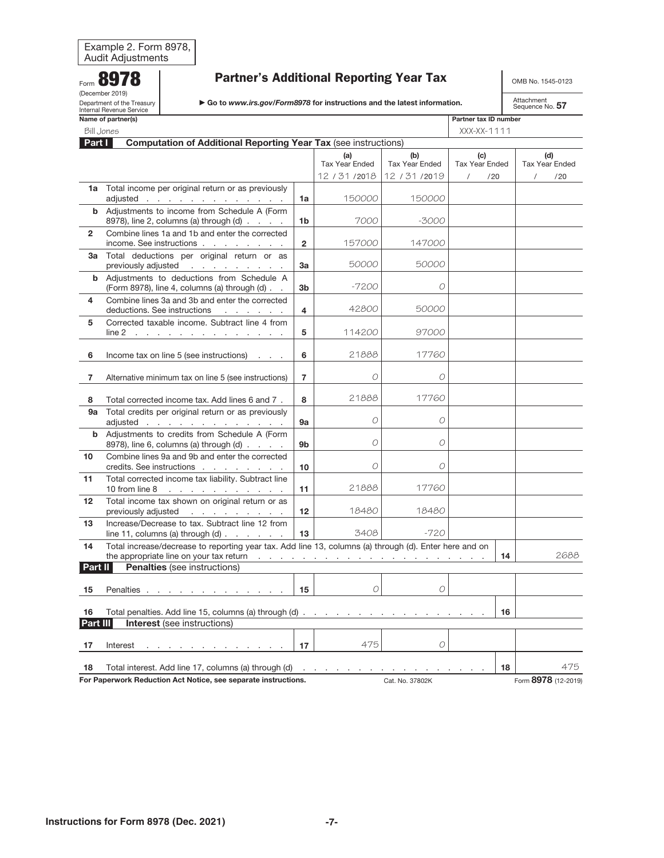#### <span id="page-6-0"></span>Form 8978 (December 2019) Department of the Treasury Internal Revenue Service

## Partner's Additional Reporting Year Tax

OMB No. 1545-0123

| ► Go to www.irs.gov/Form8978 for instructions and the latest information. |
|---------------------------------------------------------------------------|
|---------------------------------------------------------------------------|

|                                                             | Name of partner(s)                                                                                               |                |                              |                              | Partner tax ID number        |    |                              |
|-------------------------------------------------------------|------------------------------------------------------------------------------------------------------------------|----------------|------------------------------|------------------------------|------------------------------|----|------------------------------|
| Bill Jones                                                  |                                                                                                                  |                |                              |                              | $XXX-XX-1111$                |    |                              |
| Part I                                                      | <b>Computation of Additional Reporting Year Tax (see instructions)</b>                                           |                |                              |                              |                              |    |                              |
|                                                             |                                                                                                                  |                | (a)<br><b>Tax Year Ended</b> | (b)<br><b>Tax Year Ended</b> | (c)<br><b>Tax Year Ended</b> |    | (d)<br><b>Tax Year Ended</b> |
|                                                             |                                                                                                                  |                | 12 / 31 / 2018               | 12 / 31 / 2019               | $\prime$<br>/20              |    | $\sqrt{2}$<br>/20            |
|                                                             | 1a Total income per original return or as previously                                                             |                |                              |                              |                              |    |                              |
|                                                             | adjusted                                                                                                         | 1a             | 150000                       | 150000                       |                              |    |                              |
| b                                                           | Adjustments to income from Schedule A (Form<br>8978), line 2, columns (a) through (d)                            | 1b             | 7000                         | -3000                        |                              |    |                              |
| $\mathbf{2}$                                                | Combine lines 1a and 1b and enter the corrected<br>income. See instructions                                      | $\overline{2}$ | 157000                       | 147000                       |                              |    |                              |
| За                                                          | Total deductions per original return or as<br>previously adjusted                                                | 3a             | 50000                        | 50000                        |                              |    |                              |
| b                                                           | Adjustments to deductions from Schedule A<br>(Form 8978), line 4, columns (a) through (d)                        | 3b             | $-7200$                      | O                            |                              |    |                              |
| 4                                                           | Combine lines 3a and 3b and enter the corrected<br>deductions. See instructions<br>the contract of the con-      | 4              | 42800                        | 50000                        |                              |    |                              |
| 5                                                           | Corrected taxable income. Subtract line 4 from<br>$line 2$                                                       | 5              | 114200                       | 97000                        |                              |    |                              |
| 6                                                           | Income tax on line 5 (see instructions)<br><b>Contractor</b>                                                     | 6              | 21888                        | 17760                        |                              |    |                              |
| 7                                                           | Alternative minimum tax on line 5 (see instructions)                                                             | $\overline{7}$ | O                            | O                            |                              |    |                              |
| 8                                                           | Total corrected income tax. Add lines 6 and 7.                                                                   | 8              | 21888                        | 17760                        |                              |    |                              |
| 9а                                                          | Total credits per original return or as previously<br>adjusted                                                   | <b>9a</b>      | $\mathcal{O}$                | O                            |                              |    |                              |
| b                                                           | Adjustments to credits from Schedule A (Form<br>8978), line 6, columns (a) through (d)                           | 9b             | O                            | O                            |                              |    |                              |
| 10                                                          | Combine lines 9a and 9b and enter the corrected<br>credits. See instructions                                     | 10             | O                            | O                            |                              |    |                              |
| 11                                                          | Total corrected income tax liability. Subtract line                                                              | 11             | 21888                        | 17760                        |                              |    |                              |
| 12                                                          | Total income tax shown on original return or as<br>previously adjusted                                           | 12             | 18480                        | 18480                        |                              |    |                              |
| 13                                                          | Increase/Decrease to tax. Subtract line 12 from<br>line 11, columns (a) through $(d)$ $\ldots$ $\ldots$ $\ldots$ | 13             | 3408                         | $-720$                       |                              |    |                              |
| 14                                                          | Total increase/decrease to reporting year tax. Add line 13, columns (a) through (d). Enter here and on           |                |                              |                              |                              | 14 | 2688                         |
| Part II                                                     | <b>Penalties</b> (see instructions)                                                                              |                |                              |                              |                              |    |                              |
| 15                                                          | Penalties <u>.</u>                                                                                               | 15             | O                            | O                            |                              |    |                              |
| Total penalties. Add line 15, columns (a) through (d)<br>16 |                                                                                                                  |                |                              |                              |                              | 16 |                              |
| Part III                                                    | <b>Interest</b> (see instructions)                                                                               |                |                              |                              |                              |    |                              |
| 17                                                          | Interest                                                                                                         | 17             | 475                          | 0                            |                              |    |                              |
| 18                                                          | Total interest. Add line 17, columns (a) through (d)                                                             |                |                              |                              |                              | 18 | 475                          |
|                                                             | For Paperwork Reduction Act Notice, see separate instructions.                                                   |                |                              | Cat. No. 37802K              |                              |    | Form 8978 (12-2019)          |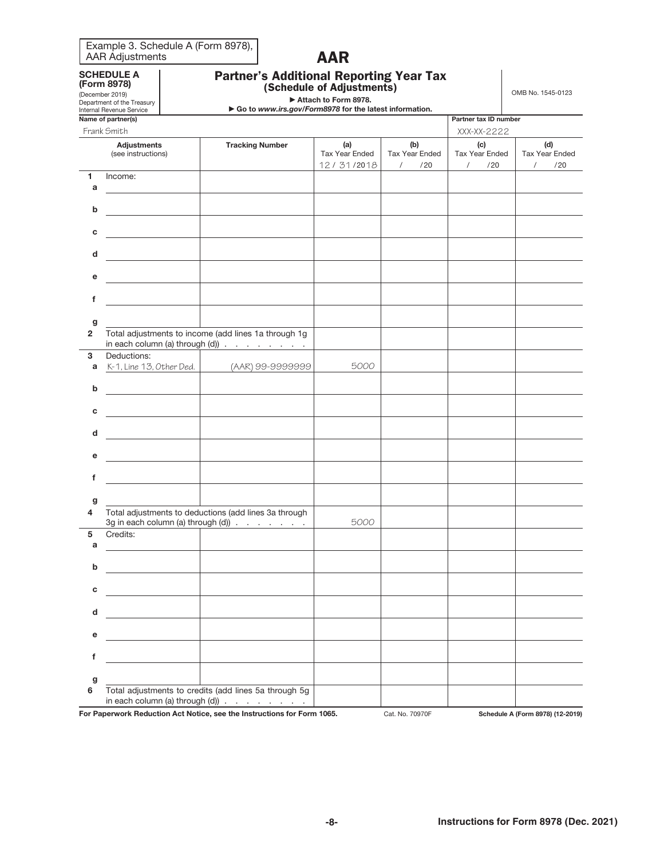<span id="page-7-0"></span>

| Example 3. Schedule A (Form 8978), |  |
|------------------------------------|--|
| <b>AAR Adjustments</b>             |  |

# AAR

| <b>Partner's Additional Reporting Year Tax</b> |  |
|------------------------------------------------|--|
| (Schedule of Adjustments)                      |  |

SCHEDULE A (Form 8978)

| Attach to Form 8978. |  |  |
|----------------------|--|--|

OMB No. 1545-0123

| الماسم مباسمين فمرح ممرمانا     |  |  |  |  |  |
|---------------------------------|--|--|--|--|--|
| <b>Internal Revenue Service</b> |  |  |  |  |  |
| Department of the Treasury      |  |  |  |  |  |
| (December 2019)                 |  |  |  |  |  |

| Attach to Form 8978. |  |  |
|----------------------|--|--|

| Internal Revenue Service |  |                              |  |
|--------------------------|--|------------------------------|--|
| Name of partner(s)       |  | <b>Partner tax ID number</b> |  |
| والمشدون والمتحدثا       |  | $\frac{1}{2}$                |  |

|                     | Frank Smith                                                                                                                                                                                                                          |                                                                                                                     |                                            |                                            | XXX-XX-2222                                       |                                            |  |
|---------------------|--------------------------------------------------------------------------------------------------------------------------------------------------------------------------------------------------------------------------------------|---------------------------------------------------------------------------------------------------------------------|--------------------------------------------|--------------------------------------------|---------------------------------------------------|--------------------------------------------|--|
|                     | <b>Adjustments</b><br>(see instructions)                                                                                                                                                                                             | <b>Tracking Number</b>                                                                                              | (a)<br><b>Tax Year Ended</b><br>12/31/2018 | (b)<br>Tax Year Ended<br>$\sqrt{2}$<br>/20 | (c)<br><b>Tax Year Ended</b><br>$\sqrt{2}$<br>/20 | (d)<br>Tax Year Ended<br>$\sqrt{2}$<br>/20 |  |
| 1<br>a              | Income:                                                                                                                                                                                                                              |                                                                                                                     |                                            |                                            |                                                   |                                            |  |
| b                   |                                                                                                                                                                                                                                      |                                                                                                                     |                                            |                                            |                                                   |                                            |  |
| с                   | <u> a shekara ta 1999 a shekara ta 1991 a shekara ta 1991 a shekara ta 1991 a shekara ta 1991 a shekara ta 1991 a </u>                                                                                                               |                                                                                                                     |                                            |                                            |                                                   |                                            |  |
| d                   | $\mathcal{L} = \{ \mathcal{L} \in \mathcal{L} \}$ . The set of $\mathcal{L}$                                                                                                                                                         | the control of the control of the                                                                                   |                                            |                                            |                                                   |                                            |  |
| е                   | the control of the control of the                                                                                                                                                                                                    |                                                                                                                     |                                            |                                            |                                                   |                                            |  |
| f                   |                                                                                                                                                                                                                                      |                                                                                                                     |                                            |                                            |                                                   |                                            |  |
| g<br>$\overline{2}$ |                                                                                                                                                                                                                                      | Total adjustments to income (add lines 1a through 1g<br>in each column (a) through $(d)$ $\ldots$ $\ldots$ $\ldots$ |                                            |                                            |                                                   |                                            |  |
| 3                   | Deductions:                                                                                                                                                                                                                          |                                                                                                                     |                                            |                                            |                                                   |                                            |  |
| a                   | K-1, Line 13, Other Ded.                                                                                                                                                                                                             | (AAR) 99-9999999                                                                                                    | 5000                                       |                                            |                                                   |                                            |  |
| b                   |                                                                                                                                                                                                                                      |                                                                                                                     |                                            |                                            |                                                   |                                            |  |
| с                   | <u> The Community of the Community of the Community of the Community of the Community of the Community of the Community of the Community of the Community of the Community of the Community of the Community of the Community of</u> |                                                                                                                     |                                            |                                            |                                                   |                                            |  |
| d                   |                                                                                                                                                                                                                                      |                                                                                                                     |                                            |                                            |                                                   |                                            |  |
| е                   |                                                                                                                                                                                                                                      |                                                                                                                     |                                            |                                            |                                                   |                                            |  |
| f                   |                                                                                                                                                                                                                                      |                                                                                                                     |                                            |                                            |                                                   |                                            |  |
| g<br>4              |                                                                                                                                                                                                                                      | Total adjustments to deductions (add lines 3a through<br>3g in each column (a) through (d))                         | 5000                                       |                                            |                                                   |                                            |  |
| 5<br>a              | Credits:                                                                                                                                                                                                                             |                                                                                                                     |                                            |                                            |                                                   |                                            |  |
| b                   |                                                                                                                                                                                                                                      |                                                                                                                     |                                            |                                            |                                                   |                                            |  |
| с                   |                                                                                                                                                                                                                                      |                                                                                                                     |                                            |                                            |                                                   |                                            |  |
|                     |                                                                                                                                                                                                                                      |                                                                                                                     |                                            |                                            |                                                   |                                            |  |
| е                   |                                                                                                                                                                                                                                      |                                                                                                                     |                                            |                                            |                                                   |                                            |  |
| f                   |                                                                                                                                                                                                                                      |                                                                                                                     |                                            |                                            |                                                   |                                            |  |
| g<br>6              |                                                                                                                                                                                                                                      | Total adjustments to credits (add lines 5a through 5g                                                               |                                            |                                            |                                                   |                                            |  |
|                     |                                                                                                                                                                                                                                      | in each column (a) through (d)) $\cdots$ $\cdots$ $\cdots$                                                          |                                            |                                            |                                                   |                                            |  |
|                     |                                                                                                                                                                                                                                      | For Paperwork Reduction Act Notice, see the Instructions for Form 1065.                                             |                                            | Cat. No. 70970F                            |                                                   | Schedule A (Form 8978) (12-2019)           |  |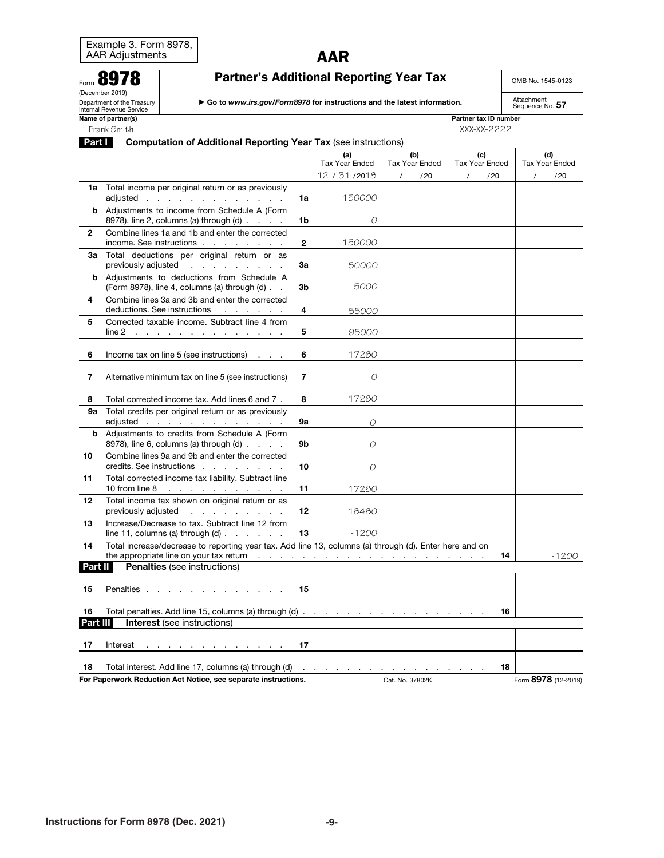# AAR

|  | OMB No. 1545-0123 |
|--|-------------------|
|  |                   |

<span id="page-8-0"></span>

|                                                                           | 8978<br><b>Partner's Additional Reporting Year Tax</b>                                                                                               |                                                                                                           |                |                              |                              |                              | OMB No. 1545-0123             |
|---------------------------------------------------------------------------|------------------------------------------------------------------------------------------------------------------------------------------------------|-----------------------------------------------------------------------------------------------------------|----------------|------------------------------|------------------------------|------------------------------|-------------------------------|
|                                                                           | (December 2019)<br>Department of the Treasury<br>Go to www.irs.gov/Form8978 for instructions and the latest information.<br>Internal Revenue Service |                                                                                                           |                |                              |                              |                              | Attachment<br>Sequence No. 57 |
| Name of partner(s)<br>Partner tax ID number<br>XXX-XX-2222<br>Frank Smith |                                                                                                                                                      |                                                                                                           |                |                              |                              |                              |                               |
| Part I                                                                    |                                                                                                                                                      | <b>Computation of Additional Reporting Year Tax (see instructions)</b>                                    |                |                              |                              |                              |                               |
|                                                                           |                                                                                                                                                      |                                                                                                           |                | (a)<br><b>Tax Year Ended</b> | (b)<br><b>Tax Year Ended</b> | (c)<br><b>Tax Year Ended</b> | (d)<br><b>Tax Year Ended</b>  |
|                                                                           |                                                                                                                                                      |                                                                                                           |                | 12 / 31 / 2018               | /20<br>$\prime$              | /20<br>$\prime$              | /20                           |
| 1a                                                                        |                                                                                                                                                      | Total income per original return or as previously<br>adjusted <u>.</u>                                    | 1a             | 150000                       |                              |                              |                               |
| b                                                                         |                                                                                                                                                      | Adjustments to income from Schedule A (Form<br>8978), line 2, columns (a) through $(d)$ $\ldots$ $\ldots$ | 1b             | O                            |                              |                              |                               |
| $\mathbf{2}$                                                              | Combine lines 1a and 1b and enter the corrected<br>income. See instructions                                                                          |                                                                                                           | $\mathbf{2}$   | 150000                       |                              |                              |                               |
| 3a                                                                        |                                                                                                                                                      | Total deductions per original return or as<br>previously adjusted                                         | За             | 50000                        |                              |                              |                               |
|                                                                           |                                                                                                                                                      | <b>b</b> Adjustments to deductions from Schedule A<br>(Form 8978), line 4, columns (a) through (d).       | 3b             | 5000                         |                              |                              |                               |
| 4                                                                         | deductions. See instructions                                                                                                                         | Combine lines 3a and 3b and enter the corrected<br>the company's company's com-                           | 4              | 55000                        |                              |                              |                               |
| 5                                                                         |                                                                                                                                                      | Corrected taxable income. Subtract line 4 from<br>$line 2$                                                | 5              | 95000                        |                              |                              |                               |
| 6                                                                         |                                                                                                                                                      | Income tax on line 5 (see instructions) $\ldots$                                                          | 6              | 17280                        |                              |                              |                               |
|                                                                           |                                                                                                                                                      | Alternative minimum tax on line 5 (see instructions)                                                      | $\overline{7}$ | O                            |                              |                              |                               |
|                                                                           |                                                                                                                                                      |                                                                                                           |                |                              |                              |                              |                               |

|          | Alternative minimiant tax on line 5 (366 instructions)                                                 |                   |          |  |  |    |         |
|----------|--------------------------------------------------------------------------------------------------------|-------------------|----------|--|--|----|---------|
|          |                                                                                                        |                   |          |  |  |    |         |
| 8        | Total corrected income tax. Add lines 6 and 7.                                                         | 8                 | 17280    |  |  |    |         |
| 9а       | Total credits per original return or as previously                                                     |                   |          |  |  |    |         |
|          | adjusted                                                                                               | 9а                | $\Omega$ |  |  |    |         |
|          | <b>b</b> Adjustments to credits from Schedule A (Form                                                  |                   |          |  |  |    |         |
|          |                                                                                                        | 9b                |          |  |  |    |         |
|          | 8978), line 6, columns (a) through (d)                                                                 |                   | O        |  |  |    |         |
| 10       | Combine lines 9a and 9b and enter the corrected                                                        |                   |          |  |  |    |         |
|          | credits. See instructions                                                                              | 10                | 0        |  |  |    |         |
| 11       | Total corrected income tax liability. Subtract line                                                    |                   |          |  |  |    |         |
|          | 10 from line 8<br>and the company of the company of                                                    | 11                | 17280    |  |  |    |         |
|          |                                                                                                        |                   |          |  |  |    |         |
| 12       | Total income tax shown on original return or as                                                        |                   |          |  |  |    |         |
|          | previously adjusted                                                                                    | $12 \overline{ }$ | 18480    |  |  |    |         |
| 13       | Increase/Decrease to tax. Subtract line 12 from                                                        |                   |          |  |  |    |         |
|          | line 11, columns (a) through $(d)$                                                                     | 13                | $-1200$  |  |  |    |         |
| 14       | Total increase/decrease to reporting year tax. Add line 13, columns (a) through (d). Enter here and on |                   |          |  |  |    |         |
|          |                                                                                                        |                   |          |  |  | 14 |         |
|          |                                                                                                        |                   |          |  |  |    | $-1200$ |
| Part II  | <b>Penalties</b> (see instructions)                                                                    |                   |          |  |  |    |         |
|          |                                                                                                        |                   |          |  |  |    |         |
| 15       |                                                                                                        | 15                |          |  |  |    |         |
|          |                                                                                                        |                   |          |  |  |    |         |
| 16       |                                                                                                        |                   |          |  |  | 16 |         |
|          |                                                                                                        |                   |          |  |  |    |         |
| Part III | <b>Interest</b> (see instructions)                                                                     |                   |          |  |  |    |         |
|          |                                                                                                        |                   |          |  |  |    |         |
| 17       | Interest $\ldots$ $\ldots$ $\ldots$ $\ldots$ $\ldots$                                                  | 17                |          |  |  |    |         |
|          |                                                                                                        |                   |          |  |  |    |         |
| 18       |                                                                                                        |                   |          |  |  | 18 |         |
|          |                                                                                                        |                   |          |  |  |    |         |

For Paperwork Reduction Act Notice, see separate instructions. Cat. No. 37802K Form 8978 (12-2019)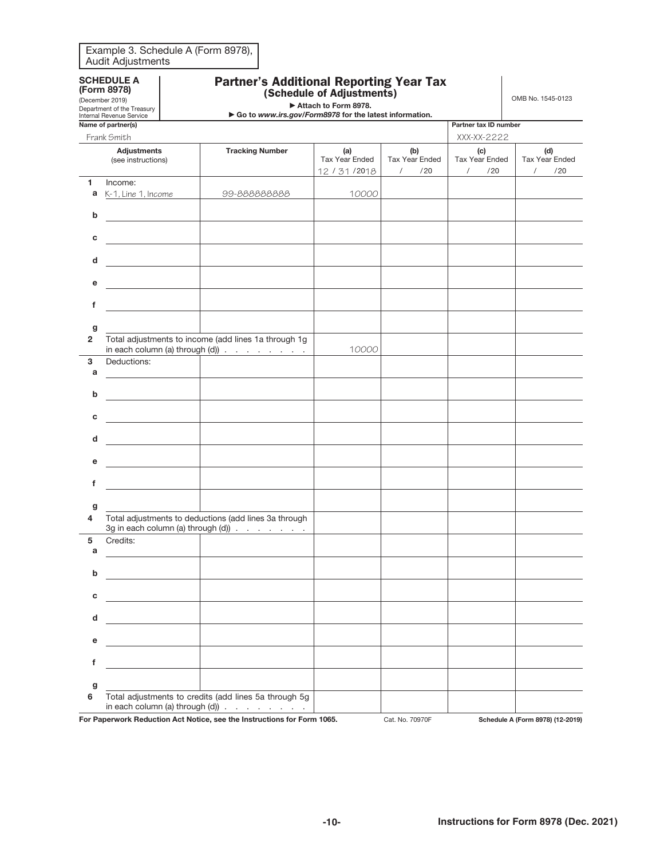<span id="page-9-0"></span>

| Example 3. Schedule A (Form 8978), |  |
|------------------------------------|--|
| Audit Adjustments                  |  |

| <b>SCHEDULE A</b> |  |
|-------------------|--|
| (Form 8978)       |  |

|  | ן טויטט,                              |  |
|--|---------------------------------------|--|
|  | $D_{\text{meas}}$ $\sim$ $\sim$ 0010) |  |

Partner's Additional Reporting Year Tax (Schedule of Adjustments)

OMB No. 1545-0123

|                | (December 2019)<br>Department of the Treasury  |                                          |                                                                                                                                           | Attach to Form 8978.                    |                                                 |                                                 | OMB NO. 1545-0123                        |
|----------------|------------------------------------------------|------------------------------------------|-------------------------------------------------------------------------------------------------------------------------------------------|-----------------------------------------|-------------------------------------------------|-------------------------------------------------|------------------------------------------|
|                | Internal Revenue Service<br>Name of partner(s) |                                          | Go to www.irs.gov/Form8978 for the latest information.                                                                                    |                                         |                                                 | Partner tax ID number                           |                                          |
|                | Frank Smith                                    |                                          |                                                                                                                                           |                                         |                                                 | XXX-XX-2222                                     |                                          |
|                | <b>Adjustments</b><br>(see instructions)       |                                          | <b>Tracking Number</b>                                                                                                                    | (a)<br>Tax Year Ended<br>12 / 31 / 2018 | (b)<br><b>Tax Year Ended</b><br>/20<br>$\prime$ | (c)<br><b>Tax Year Ended</b><br>$\prime$<br>/20 | (d)<br>Tax Year Ended<br>$\prime$<br>/20 |
| 1              | Income:                                        |                                          |                                                                                                                                           |                                         |                                                 |                                                 |                                          |
| a              | K-1, Line 1, Income                            |                                          | 99-888888888                                                                                                                              | 10000                                   |                                                 |                                                 |                                          |
| b              |                                                |                                          |                                                                                                                                           |                                         |                                                 |                                                 |                                          |
| c              |                                                |                                          |                                                                                                                                           |                                         |                                                 |                                                 |                                          |
| d              |                                                | <u> Albanya (Albanya)</u>                |                                                                                                                                           |                                         |                                                 |                                                 |                                          |
| е              |                                                |                                          |                                                                                                                                           |                                         |                                                 |                                                 |                                          |
| f              |                                                | <u> 1980 - Johann Barbara, martxa al</u> |                                                                                                                                           |                                         |                                                 |                                                 |                                          |
| g              |                                                |                                          |                                                                                                                                           |                                         |                                                 |                                                 |                                          |
| $\overline{2}$ |                                                |                                          | Total adjustments to income (add lines 1a through 1g<br>in each column (a) through $(d)$                                                  | 10000                                   |                                                 |                                                 |                                          |
| 3              | Deductions:                                    |                                          |                                                                                                                                           |                                         |                                                 |                                                 |                                          |
| a              |                                                |                                          |                                                                                                                                           |                                         |                                                 |                                                 |                                          |
| b              |                                                |                                          |                                                                                                                                           |                                         |                                                 |                                                 |                                          |
| c              | <b>Contract Contract Contract</b>              |                                          |                                                                                                                                           |                                         |                                                 |                                                 |                                          |
| d              |                                                | <u> 1980 - Johann Barbara, martxa a</u>  |                                                                                                                                           |                                         |                                                 |                                                 |                                          |
| е              |                                                | <u> 1980 - Johann Barbara, martxa a</u>  |                                                                                                                                           |                                         |                                                 |                                                 |                                          |
| f              |                                                |                                          |                                                                                                                                           |                                         |                                                 |                                                 |                                          |
| g              |                                                |                                          |                                                                                                                                           |                                         |                                                 |                                                 |                                          |
| 4              |                                                |                                          | Total adjustments to deductions (add lines 3a through<br>3g in each column (a) through (d)) $\cdot \cdot \cdot \cdot$ $\cdot \cdot \cdot$ |                                         |                                                 |                                                 |                                          |
| 5<br>a         | Credits:                                       |                                          |                                                                                                                                           |                                         |                                                 |                                                 |                                          |
| b              |                                                |                                          |                                                                                                                                           |                                         |                                                 |                                                 |                                          |
| с              |                                                |                                          |                                                                                                                                           |                                         |                                                 |                                                 |                                          |
| d              |                                                |                                          |                                                                                                                                           |                                         |                                                 |                                                 |                                          |
| е              |                                                |                                          |                                                                                                                                           |                                         |                                                 |                                                 |                                          |
| f              |                                                |                                          |                                                                                                                                           |                                         |                                                 |                                                 |                                          |
|                |                                                |                                          |                                                                                                                                           |                                         |                                                 |                                                 |                                          |
| g<br>6         |                                                |                                          | Total adjustments to credits (add lines 5a through 5g                                                                                     |                                         |                                                 |                                                 |                                          |
|                |                                                |                                          | in each column (a) through (d)) $\ldots$ $\ldots$ $\ldots$                                                                                |                                         |                                                 |                                                 |                                          |
|                |                                                |                                          | For Paperwork Reduction Act Notice, see the Instructions for Form 1065.                                                                   |                                         | Cat. No. 70970F                                 |                                                 | Schedule A (Form 8978) (12-2019)         |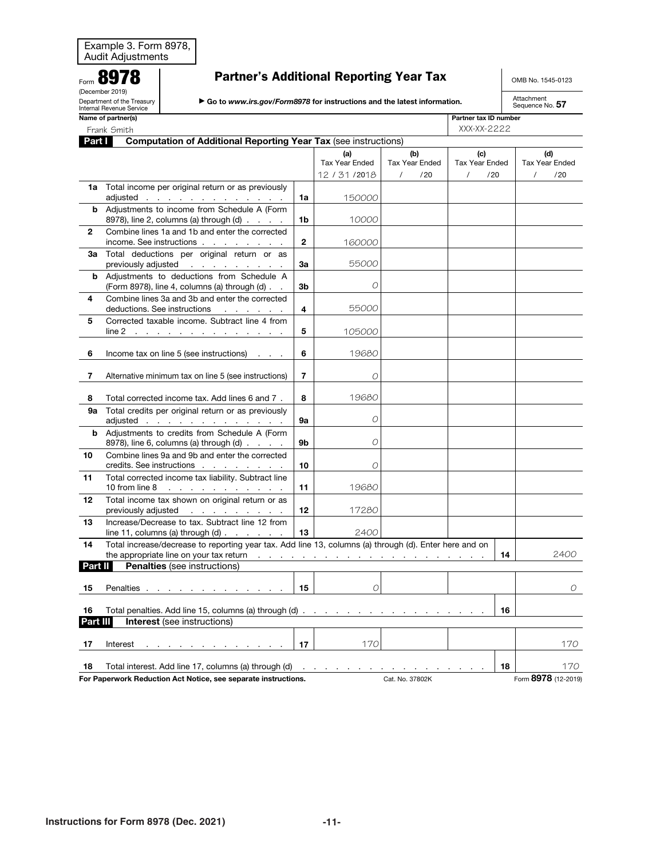|  | <b>Partner's Additional Reporting Year Tax</b> |
|--|------------------------------------------------|
|--|------------------------------------------------|

OMB No. 1545-0123

Attachment<br>Sequence No. 57

| Go to www.irs.gov/Form8978 for instructions and the latest information. |
|-------------------------------------------------------------------------|
|                                                                         |

Department of the Treasury Internal Revenue Service

<span id="page-10-0"></span>Form 8978 (December 2019)

Partner tax ID number

|                | Frank Smith                                                                                                         | XXX-XX-2222      |                              |                              |                              |                              |  |
|----------------|---------------------------------------------------------------------------------------------------------------------|------------------|------------------------------|------------------------------|------------------------------|------------------------------|--|
|                | <b>Computation of Additional Reporting Year Tax (see instructions)</b><br>Part I                                    |                  |                              |                              |                              |                              |  |
|                |                                                                                                                     |                  | (a)<br><b>Tax Year Ended</b> | (b)<br><b>Tax Year Ended</b> | (c)<br><b>Tax Year Ended</b> | (d)<br><b>Tax Year Ended</b> |  |
|                |                                                                                                                     |                  | 12 / 31 / 2018               | $\prime$<br>/20              | $\prime$<br>/20              | $\prime$<br>/20              |  |
| 1a             | Total income per original return or as previously<br>adjusted <u>.</u>                                              | 1a               | 150000                       |                              |                              |                              |  |
| b              | Adjustments to income from Schedule A (Form<br>8978), line 2, columns (a) through $(d)$ $\ldots$ $\ldots$           | 1b               | 10000                        |                              |                              |                              |  |
| $\mathbf{2}$   | Combine lines 1a and 1b and enter the corrected<br>income. See instructions                                         | $\mathbf{2}$     | 160000                       |                              |                              |                              |  |
| За             | Total deductions per original return or as<br>previously adjusted                                                   | За               | 55000                        |                              |                              |                              |  |
| b              | Adjustments to deductions from Schedule A<br>(Form 8978), line 4, columns (a) through (d)                           | 3b               | O                            |                              |                              |                              |  |
| 4              | Combine lines 3a and 3b and enter the corrected<br>deductions. See instructions                                     | 4                | 55000                        |                              |                              |                              |  |
| 5              | Corrected taxable income. Subtract line 4 from<br>$line 2$                                                          | 5                | 105000                       |                              |                              |                              |  |
| 6              | Income tax on line 5 (see instructions)                                                                             | 6                | 19680                        |                              |                              |                              |  |
| $\overline{7}$ | Alternative minimum tax on line 5 (see instructions)                                                                | $\overline{7}$   | 0                            |                              |                              |                              |  |
| 8              | Total corrected income tax. Add lines 6 and 7.                                                                      | 8                | 19680                        |                              |                              |                              |  |
| 9а             | Total credits per original return or as previously<br>adjusted                                                      | 9а               | O                            |                              |                              |                              |  |
|                | <b>b</b> Adjustments to credits from Schedule A (Form<br>8978), line 6, columns (a) through $(d)$ $\ldots$ $\ldots$ | 9b               | $\Omega$                     |                              |                              |                              |  |
| 10             | Combine lines 9a and 9b and enter the corrected<br>credits. See instructions                                        | 10               | O                            |                              |                              |                              |  |
| 11             | Total corrected income tax liability. Subtract line                                                                 | 11               | 19680                        |                              |                              |                              |  |
| 12             | Total income tax shown on original return or as<br>previously adjusted                                              | 12 <sup>12</sup> | 17280                        |                              |                              |                              |  |
| 13             | Increase/Decrease to tax. Subtract line 12 from<br>line 11, columns (a) through $(d)$ $\ldots$ $\ldots$ $\ldots$    | 13               | 2400                         |                              |                              |                              |  |
| 14             | Total increase/decrease to reporting year tax. Add line 13, columns (a) through (d). Enter here and on              |                  |                              |                              | 14                           | 2400                         |  |
| Part II        | <b>Penalties</b> (see instructions)                                                                                 |                  |                              |                              |                              |                              |  |
| 15             | Penalties                                                                                                           | 15               | 0                            |                              |                              | 0                            |  |
| 16<br>Part III | 16                                                                                                                  |                  |                              |                              |                              |                              |  |
|                | <b>Interest</b> (see instructions)                                                                                  |                  |                              |                              |                              |                              |  |
| 17             | Interest<br>the contract of the contract of the contract of the con-                                                | 17 <sub>1</sub>  | 170                          |                              |                              | 170                          |  |
| 18             | Total interest. Add line 17, columns (a) through $(d)$                                                              |                  |                              |                              | 18                           | 170                          |  |
|                | For Paperwork Reduction Act Notice, see separate instructions.                                                      |                  |                              | Cat. No. 37802K              |                              | Form 8978 (12-2019)          |  |